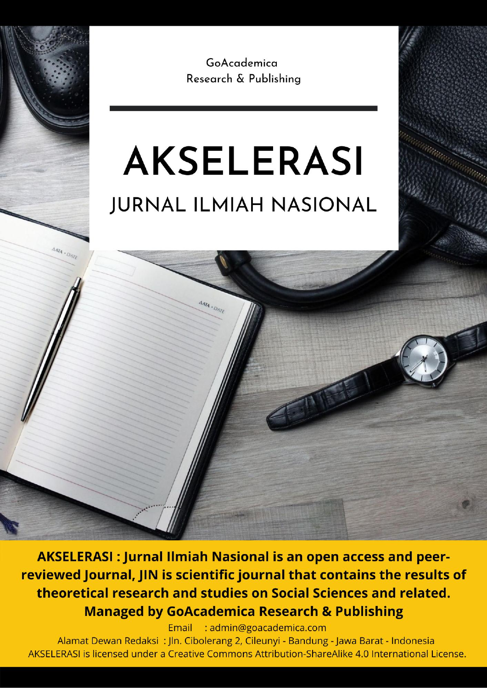GoAcademica Research & Publishing

# **AKSELERASI JURNAL ILMIAH NASIONAL**

**ATA · DATE** 

 $4474.047$ 

**AKSELERASI: Jurnal Ilmiah Nasional is an open access and peer**reviewed Journal, JIN is scientific journal that contains the results of theoretical research and studies on Social Sciences and related. **Managed by GoAcademica Research & Publishing** 

Email : admin@goacademica.com

Alamat Dewan Redaksi: Jln. Cibolerang 2, Cileunyi - Bandung - Jawa Barat - Indonesia AKSELERASI is licensed under a Creative Commons Attribution-ShareAlike 4.0 International License.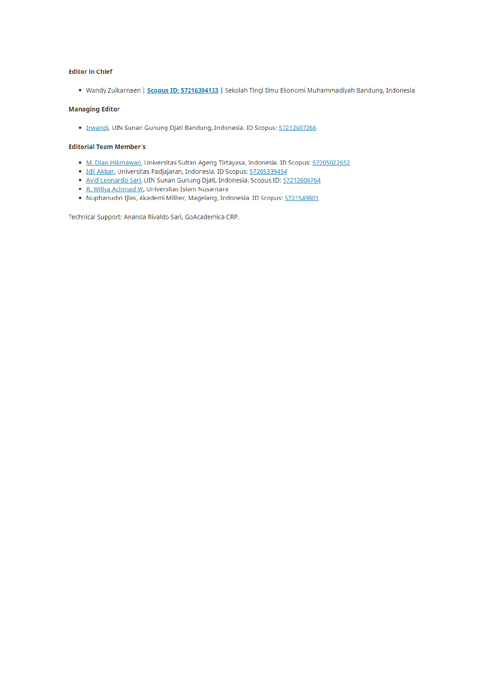#### **Editor in Chief**

• Wandy Zulkarnaen | Scopus ID: 57216394133 | Sekolah Tingi Ilmu Ekonomi Muhammadiyah Bandung, Indonesia

#### **Managing Editor**

· Irwandi, UIN Sunan Gunung Djati Bandung, Indonesia. ID Scopus: 57212607266

#### **Editorial Team Member's**

- M. Dian Hikmawan, Universitas Sultan Ageng Tirtayasa, Indonesia. ID Scopus: 57205022652
- · Idil Akbar, Universitas Padjajaran, Indonesia. ID Scopus: 57205339454
- · Avid Leonardo Sari, UIN Sunan Gunung Djati, Indonesia. Scopus ID: 57212606764
- . R. Willya Achmad W, Universitas Islam Nusantara
- · Nuphanudin Ijlas, Akademi Militer, Magelang, Indonesia. ID Scopus: 5721549801

Technical Support: Ananda Rivaldo Sari, GoAcademica CRP.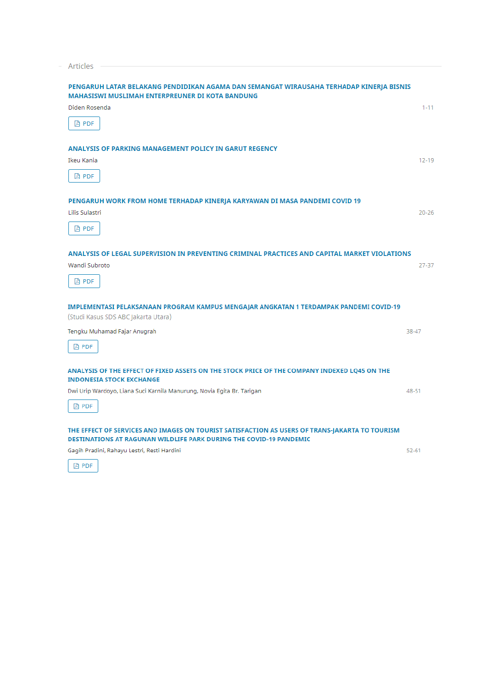| PENGARUH LATAR BELAKANG PENDIDIKAN AGAMA DAN SEMANGAT WIRAUSAHA TERHADAP KINERJA BISNIS<br><b>MAHASISWI MUSLIMAH ENTERPREUNER DI KOTA BANDUNG</b>                    |           |
|----------------------------------------------------------------------------------------------------------------------------------------------------------------------|-----------|
| Diden Rosenda                                                                                                                                                        | $1 - 11$  |
| D PDF                                                                                                                                                                |           |
| <b>ANALYSIS OF PARKING MANAGEMENT POLICY IN GARUT REGENCY</b>                                                                                                        |           |
| Ikeu Kania                                                                                                                                                           | $12 - 19$ |
| <b>A</b> PDF                                                                                                                                                         |           |
| PENGARUH WORK FROM HOME TERHADAP KINERJA KARYAWAN DI MASA PANDEMI COVID 19                                                                                           |           |
| Lilis Sulastri                                                                                                                                                       | $20 - 26$ |
| D PDF                                                                                                                                                                |           |
| ANALYSIS OF LEGAL SUPERVISION IN PREVENTING CRIMINAL PRACTICES AND CAPITAL MARKET VIOLATIONS                                                                         |           |
| Wandi Subroto                                                                                                                                                        | $27 - 37$ |
| <b>A</b> PDF                                                                                                                                                         |           |
| IMPLEMENTASI PELAKSANAAN PROGRAM KAMPUS MENGAJAR ANGKATAN 1 TERDAMPAK PANDEMI COVID-19<br>(Studi Kasus SDS ABC Jakarta Utara)                                        |           |
| Tengku Muhamad Fajar Anugrah                                                                                                                                         | 38-47     |
| D PDF                                                                                                                                                                |           |
| ANALYSIS OF THE EFFECT OF FIXED ASSETS ON THE STOCK PRICE OF THE COMPANY INDEXED LQ45 ON THE<br><b>INDONESIA STOCK EXCHANGE</b>                                      |           |
| Dwi Urip Wardoyo, Liana Suci Karnila Manurung, Novia Egita Br. Tarigan                                                                                               | 48-51     |
| D PDF                                                                                                                                                                |           |
| THE EFFECT OF SERVICES AND IMAGES ON TOURIST SATISFACTION AS USERS OF TRANS-JAKARTA TO TOURISM<br>DESTINATIONS AT RAGUNAN WILDLIFE PARK DURING THE COVID-19 PANDEMIC |           |
| Gagih Pradini, Rahayu Lestri, Resti Hardini                                                                                                                          | $52 - 61$ |
| <b>四 PDF</b>                                                                                                                                                         |           |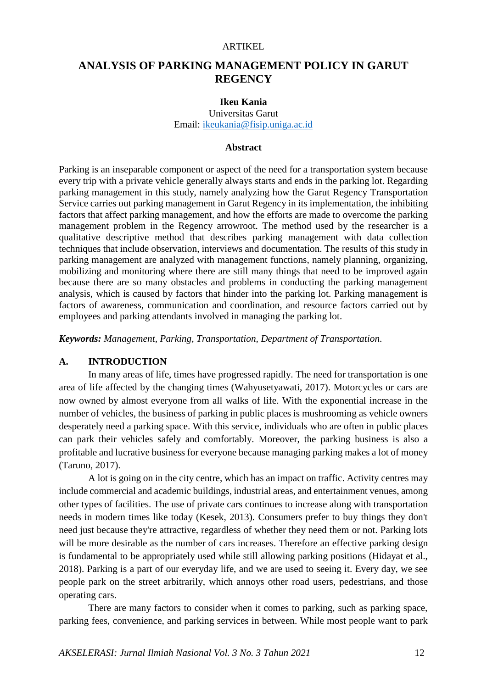# **ANALYSIS OF PARKING MANAGEMENT POLICY IN GARUT REGENCY**

## **Ikeu Kania**

Universitas Garut Email: [ikeukania@fisip.uniga.ac.id](mailto:ikeukania@fisip.uniga.ac.id)

## **Abstract**

Parking is an inseparable component or aspect of the need for a transportation system because every trip with a private vehicle generally always starts and ends in the parking lot. Regarding parking management in this study, namely analyzing how the Garut Regency Transportation Service carries out parking management in Garut Regency in its implementation, the inhibiting factors that affect parking management, and how the efforts are made to overcome the parking management problem in the Regency arrowroot. The method used by the researcher is a qualitative descriptive method that describes parking management with data collection techniques that include observation, interviews and documentation. The results of this study in parking management are analyzed with management functions, namely planning, organizing, mobilizing and monitoring where there are still many things that need to be improved again because there are so many obstacles and problems in conducting the parking management analysis, which is caused by factors that hinder into the parking lot. Parking management is factors of awareness, communication and coordination, and resource factors carried out by employees and parking attendants involved in managing the parking lot.

*Keywords: Management, Parking, Transportation, Department of Transportation.*

## **A. INTRODUCTION**

In many areas of life, times have progressed rapidly. The need for transportation is one area of life affected by the changing times (Wahyusetyawati, 2017). Motorcycles or cars are now owned by almost everyone from all walks of life. With the exponential increase in the number of vehicles, the business of parking in public places is mushrooming as vehicle owners desperately need a parking space. With this service, individuals who are often in public places can park their vehicles safely and comfortably. Moreover, the parking business is also a profitable and lucrative business for everyone because managing parking makes a lot of money (Taruno, 2017).

A lot is going on in the city centre, which has an impact on traffic. Activity centres may include commercial and academic buildings, industrial areas, and entertainment venues, among other types of facilities. The use of private cars continues to increase along with transportation needs in modern times like today (Kesek, 2013). Consumers prefer to buy things they don't need just because they're attractive, regardless of whether they need them or not. Parking lots will be more desirable as the number of cars increases. Therefore an effective parking design is fundamental to be appropriately used while still allowing parking positions (Hidayat et al., 2018). Parking is a part of our everyday life, and we are used to seeing it. Every day, we see people park on the street arbitrarily, which annoys other road users, pedestrians, and those operating cars.

There are many factors to consider when it comes to parking, such as parking space, parking fees, convenience, and parking services in between. While most people want to park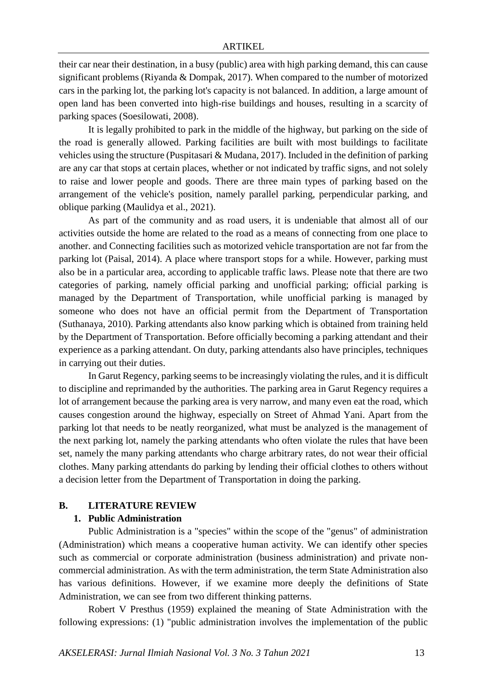their car near their destination, in a busy (public) area with high parking demand, this can cause significant problems (Riyanda & Dompak, 2017). When compared to the number of motorized cars in the parking lot, the parking lot's capacity is not balanced. In addition, a large amount of open land has been converted into high-rise buildings and houses, resulting in a scarcity of parking spaces (Soesilowati, 2008).

It is legally prohibited to park in the middle of the highway, but parking on the side of the road is generally allowed. Parking facilities are built with most buildings to facilitate vehicles using the structure (Puspitasari & Mudana, 2017). Included in the definition of parking are any car that stops at certain places, whether or not indicated by traffic signs, and not solely to raise and lower people and goods. There are three main types of parking based on the arrangement of the vehicle's position, namely parallel parking, perpendicular parking, and oblique parking (Maulidya et al., 2021).

As part of the community and as road users, it is undeniable that almost all of our activities outside the home are related to the road as a means of connecting from one place to another. and Connecting facilities such as motorized vehicle transportation are not far from the parking lot (Paisal, 2014). A place where transport stops for a while. However, parking must also be in a particular area, according to applicable traffic laws. Please note that there are two categories of parking, namely official parking and unofficial parking; official parking is managed by the Department of Transportation, while unofficial parking is managed by someone who does not have an official permit from the Department of Transportation (Suthanaya, 2010). Parking attendants also know parking which is obtained from training held by the Department of Transportation. Before officially becoming a parking attendant and their experience as a parking attendant. On duty, parking attendants also have principles, techniques in carrying out their duties.

In Garut Regency, parking seems to be increasingly violating the rules, and it is difficult to discipline and reprimanded by the authorities. The parking area in Garut Regency requires a lot of arrangement because the parking area is very narrow, and many even eat the road, which causes congestion around the highway, especially on Street of Ahmad Yani. Apart from the parking lot that needs to be neatly reorganized, what must be analyzed is the management of the next parking lot, namely the parking attendants who often violate the rules that have been set, namely the many parking attendants who charge arbitrary rates, do not wear their official clothes. Many parking attendants do parking by lending their official clothes to others without a decision letter from the Department of Transportation in doing the parking.

## **B. LITERATURE REVIEW**

## **1. Public Administration**

Public Administration is a "species" within the scope of the "genus" of administration (Administration) which means a cooperative human activity. We can identify other species such as commercial or corporate administration (business administration) and private noncommercial administration. As with the term administration, the term State Administration also has various definitions. However, if we examine more deeply the definitions of State Administration, we can see from two different thinking patterns.

Robert V Presthus (1959) explained the meaning of State Administration with the following expressions: (1) "public administration involves the implementation of the public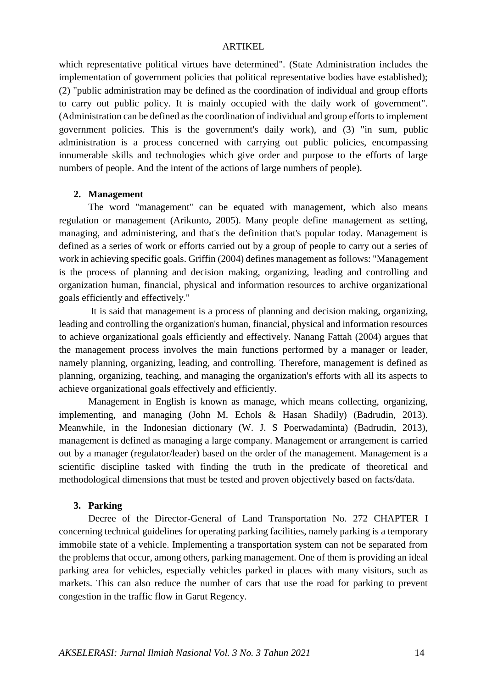which representative political virtues have determined". (State Administration includes the implementation of government policies that political representative bodies have established); (2) "public administration may be defined as the coordination of individual and group efforts to carry out public policy. It is mainly occupied with the daily work of government". (Administration can be defined as the coordination of individual and group efforts to implement government policies. This is the government's daily work), and (3) "in sum, public administration is a process concerned with carrying out public policies, encompassing innumerable skills and technologies which give order and purpose to the efforts of large numbers of people. And the intent of the actions of large numbers of people).

### **2. Management**

The word "management" can be equated with management, which also means regulation or management (Arikunto, 2005). Many people define management as setting, managing, and administering, and that's the definition that's popular today. Management is defined as a series of work or efforts carried out by a group of people to carry out a series of work in achieving specific goals. Griffin (2004) defines management as follows: "Management is the process of planning and decision making, organizing, leading and controlling and organization human, financial, physical and information resources to archive organizational goals efficiently and effectively."

It is said that management is a process of planning and decision making, organizing, leading and controlling the organization's human, financial, physical and information resources to achieve organizational goals efficiently and effectively. Nanang Fattah (2004) argues that the management process involves the main functions performed by a manager or leader, namely planning, organizing, leading, and controlling. Therefore, management is defined as planning, organizing, teaching, and managing the organization's efforts with all its aspects to achieve organizational goals effectively and efficiently.

Management in English is known as manage, which means collecting, organizing, implementing, and managing (John M. Echols & Hasan Shadily) (Badrudin, 2013). Meanwhile, in the Indonesian dictionary (W. J. S Poerwadaminta) (Badrudin, 2013), management is defined as managing a large company. Management or arrangement is carried out by a manager (regulator/leader) based on the order of the management. Management is a scientific discipline tasked with finding the truth in the predicate of theoretical and methodological dimensions that must be tested and proven objectively based on facts/data.

## **3. Parking**

Decree of the Director-General of Land Transportation No. 272 CHAPTER I concerning technical guidelines for operating parking facilities, namely parking is a temporary immobile state of a vehicle. Implementing a transportation system can not be separated from the problems that occur, among others, parking management. One of them is providing an ideal parking area for vehicles, especially vehicles parked in places with many visitors, such as markets. This can also reduce the number of cars that use the road for parking to prevent congestion in the traffic flow in Garut Regency.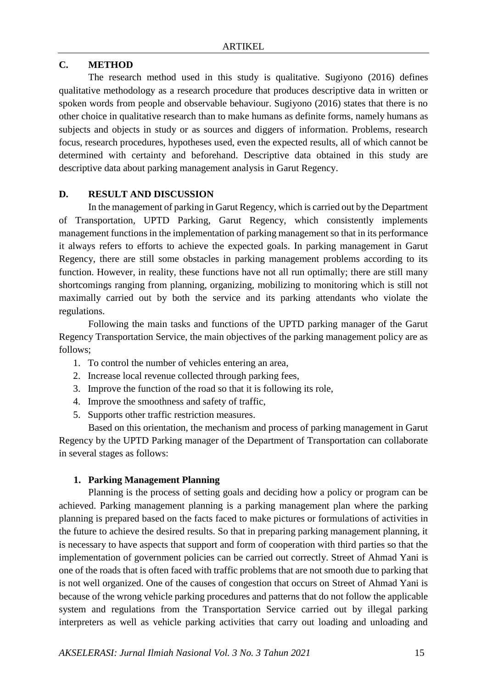## **C. METHOD**

The research method used in this study is qualitative. Sugiyono (2016) defines qualitative methodology as a research procedure that produces descriptive data in written or spoken words from people and observable behaviour. Sugiyono (2016) states that there is no other choice in qualitative research than to make humans as definite forms, namely humans as subjects and objects in study or as sources and diggers of information. Problems, research focus, research procedures, hypotheses used, even the expected results, all of which cannot be determined with certainty and beforehand. Descriptive data obtained in this study are descriptive data about parking management analysis in Garut Regency.

## **D. RESULT AND DISCUSSION**

In the management of parking in Garut Regency, which is carried out by the Department of Transportation, UPTD Parking, Garut Regency, which consistently implements management functions in the implementation of parking management so that in its performance it always refers to efforts to achieve the expected goals. In parking management in Garut Regency, there are still some obstacles in parking management problems according to its function. However, in reality, these functions have not all run optimally; there are still many shortcomings ranging from planning, organizing, mobilizing to monitoring which is still not maximally carried out by both the service and its parking attendants who violate the regulations.

Following the main tasks and functions of the UPTD parking manager of the Garut Regency Transportation Service, the main objectives of the parking management policy are as follows;

- 1. To control the number of vehicles entering an area,
- 2. Increase local revenue collected through parking fees,
- 3. Improve the function of the road so that it is following its role,
- 4. Improve the smoothness and safety of traffic,
- 5. Supports other traffic restriction measures.

Based on this orientation, the mechanism and process of parking management in Garut Regency by the UPTD Parking manager of the Department of Transportation can collaborate in several stages as follows:

## **1. Parking Management Planning**

Planning is the process of setting goals and deciding how a policy or program can be achieved. Parking management planning is a parking management plan where the parking planning is prepared based on the facts faced to make pictures or formulations of activities in the future to achieve the desired results. So that in preparing parking management planning, it is necessary to have aspects that support and form of cooperation with third parties so that the implementation of government policies can be carried out correctly. Street of Ahmad Yani is one of the roads that is often faced with traffic problems that are not smooth due to parking that is not well organized. One of the causes of congestion that occurs on Street of Ahmad Yani is because of the wrong vehicle parking procedures and patterns that do not follow the applicable system and regulations from the Transportation Service carried out by illegal parking interpreters as well as vehicle parking activities that carry out loading and unloading and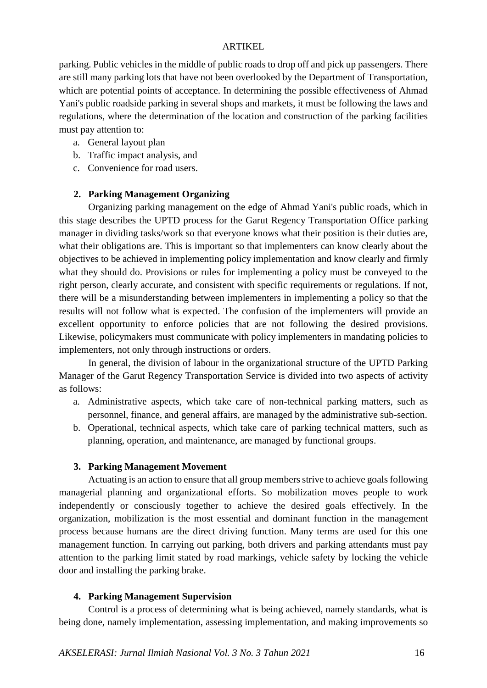parking. Public vehicles in the middle of public roads to drop off and pick up passengers. There are still many parking lots that have not been overlooked by the Department of Transportation, which are potential points of acceptance. In determining the possible effectiveness of Ahmad Yani's public roadside parking in several shops and markets, it must be following the laws and regulations, where the determination of the location and construction of the parking facilities must pay attention to:

- a. General layout plan
- b. Traffic impact analysis, and
- c. Convenience for road users.

## **2. Parking Management Organizing**

Organizing parking management on the edge of Ahmad Yani's public roads, which in this stage describes the UPTD process for the Garut Regency Transportation Office parking manager in dividing tasks/work so that everyone knows what their position is their duties are, what their obligations are. This is important so that implementers can know clearly about the objectives to be achieved in implementing policy implementation and know clearly and firmly what they should do. Provisions or rules for implementing a policy must be conveyed to the right person, clearly accurate, and consistent with specific requirements or regulations. If not, there will be a misunderstanding between implementers in implementing a policy so that the results will not follow what is expected. The confusion of the implementers will provide an excellent opportunity to enforce policies that are not following the desired provisions. Likewise, policymakers must communicate with policy implementers in mandating policies to implementers, not only through instructions or orders.

In general, the division of labour in the organizational structure of the UPTD Parking Manager of the Garut Regency Transportation Service is divided into two aspects of activity as follows:

- a. Administrative aspects, which take care of non-technical parking matters, such as personnel, finance, and general affairs, are managed by the administrative sub-section.
- b. Operational, technical aspects, which take care of parking technical matters, such as planning, operation, and maintenance, are managed by functional groups.

## **3. Parking Management Movement**

Actuating is an action to ensure that all group members strive to achieve goals following managerial planning and organizational efforts. So mobilization moves people to work independently or consciously together to achieve the desired goals effectively. In the organization, mobilization is the most essential and dominant function in the management process because humans are the direct driving function. Many terms are used for this one management function. In carrying out parking, both drivers and parking attendants must pay attention to the parking limit stated by road markings, vehicle safety by locking the vehicle door and installing the parking brake.

## **4. Parking Management Supervision**

Control is a process of determining what is being achieved, namely standards, what is being done, namely implementation, assessing implementation, and making improvements so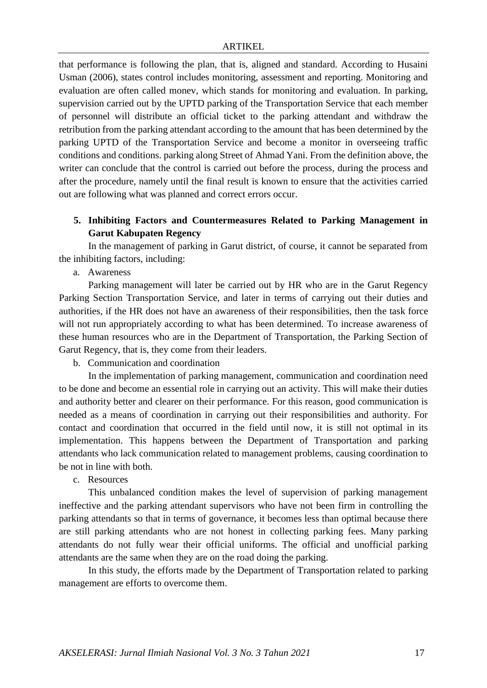that performance is following the plan, that is, aligned and standard. According to Husaini Usman (2006), states control includes monitoring, assessment and reporting. Monitoring and evaluation are often called monev, which stands for monitoring and evaluation. In parking, supervision carried out by the UPTD parking of the Transportation Service that each member of personnel will distribute an official ticket to the parking attendant and withdraw the retribution from the parking attendant according to the amount that has been determined by the parking UPTD of the Transportation Service and become a monitor in overseeing traffic conditions and conditions. parking along Street of Ahmad Yani. From the definition above, the writer can conclude that the control is carried out before the process, during the process and after the procedure, namely until the final result is known to ensure that the activities carried out are following what was planned and correct errors occur.

# **5. Inhibiting Factors and Countermeasures Related to Parking Management in Garut Kabupaten Regency**

In the management of parking in Garut district, of course, it cannot be separated from the inhibiting factors, including:

a. Awareness

Parking management will later be carried out by HR who are in the Garut Regency Parking Section Transportation Service, and later in terms of carrying out their duties and authorities, if the HR does not have an awareness of their responsibilities, then the task force will not run appropriately according to what has been determined. To increase awareness of these human resources who are in the Department of Transportation, the Parking Section of Garut Regency, that is, they come from their leaders.

b. Communication and coordination

In the implementation of parking management, communication and coordination need to be done and become an essential role in carrying out an activity. This will make their duties and authority better and clearer on their performance. For this reason, good communication is needed as a means of coordination in carrying out their responsibilities and authority. For contact and coordination that occurred in the field until now, it is still not optimal in its implementation. This happens between the Department of Transportation and parking attendants who lack communication related to management problems, causing coordination to be not in line with both.

c. Resources

This unbalanced condition makes the level of supervision of parking management ineffective and the parking attendant supervisors who have not been firm in controlling the parking attendants so that in terms of governance, it becomes less than optimal because there are still parking attendants who are not honest in collecting parking fees. Many parking attendants do not fully wear their official uniforms. The official and unofficial parking attendants are the same when they are on the road doing the parking.

In this study, the efforts made by the Department of Transportation related to parking management are efforts to overcome them.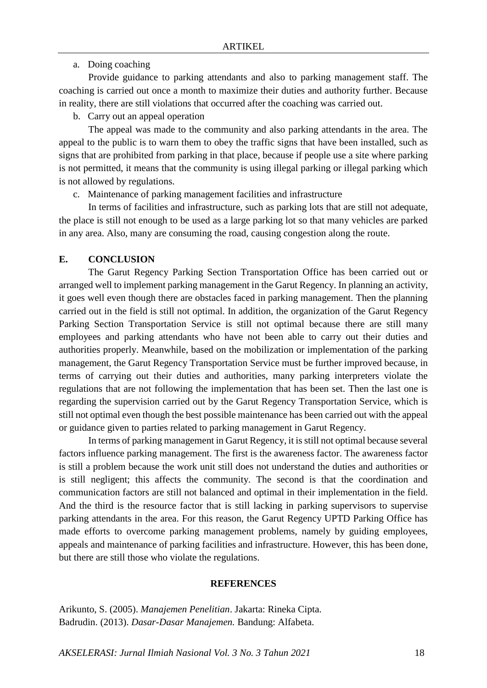## a. Doing coaching

Provide guidance to parking attendants and also to parking management staff. The coaching is carried out once a month to maximize their duties and authority further. Because in reality, there are still violations that occurred after the coaching was carried out.

b. Carry out an appeal operation

The appeal was made to the community and also parking attendants in the area. The appeal to the public is to warn them to obey the traffic signs that have been installed, such as signs that are prohibited from parking in that place, because if people use a site where parking is not permitted, it means that the community is using illegal parking or illegal parking which is not allowed by regulations.

c. Maintenance of parking management facilities and infrastructure

In terms of facilities and infrastructure, such as parking lots that are still not adequate, the place is still not enough to be used as a large parking lot so that many vehicles are parked in any area. Also, many are consuming the road, causing congestion along the route.

#### **E. CONCLUSION**

The Garut Regency Parking Section Transportation Office has been carried out or arranged well to implement parking management in the Garut Regency. In planning an activity, it goes well even though there are obstacles faced in parking management. Then the planning carried out in the field is still not optimal. In addition, the organization of the Garut Regency Parking Section Transportation Service is still not optimal because there are still many employees and parking attendants who have not been able to carry out their duties and authorities properly. Meanwhile, based on the mobilization or implementation of the parking management, the Garut Regency Transportation Service must be further improved because, in terms of carrying out their duties and authorities, many parking interpreters violate the regulations that are not following the implementation that has been set. Then the last one is regarding the supervision carried out by the Garut Regency Transportation Service, which is still not optimal even though the best possible maintenance has been carried out with the appeal or guidance given to parties related to parking management in Garut Regency.

In terms of parking management in Garut Regency, it is still not optimal because several factors influence parking management. The first is the awareness factor. The awareness factor is still a problem because the work unit still does not understand the duties and authorities or is still negligent; this affects the community. The second is that the coordination and communication factors are still not balanced and optimal in their implementation in the field. And the third is the resource factor that is still lacking in parking supervisors to supervise parking attendants in the area. For this reason, the Garut Regency UPTD Parking Office has made efforts to overcome parking management problems, namely by guiding employees, appeals and maintenance of parking facilities and infrastructure. However, this has been done, but there are still those who violate the regulations.

#### **REFERENCES**

Arikunto, S. (2005). *Manajemen Penelitian*. Jakarta: Rineka Cipta. Badrudin. (2013). *Dasar-Dasar Manajemen.* Bandung: Alfabeta.